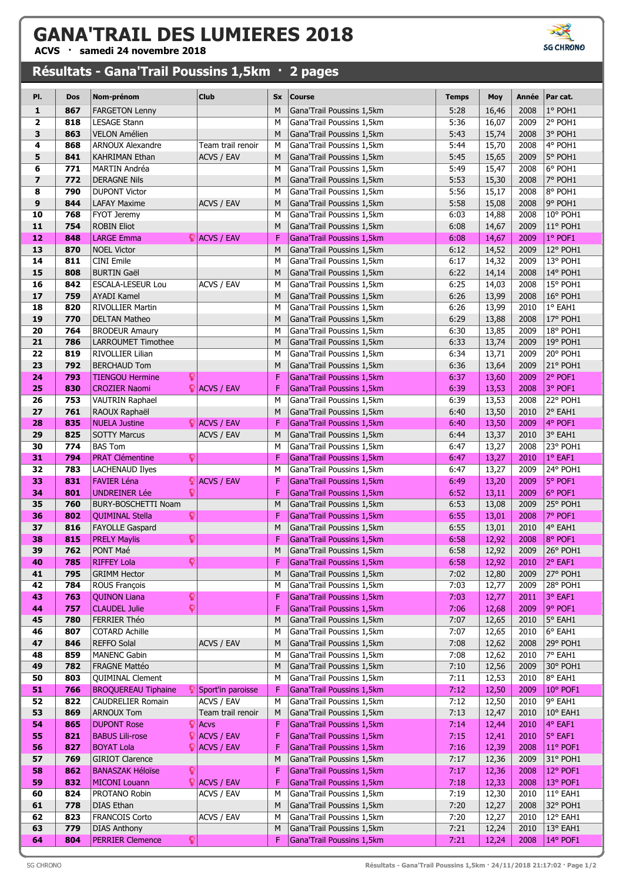## **GANA'TRAIL DES LUMIERES 2018**

**ACVS · samedi 24 novembre 2018**

## **Résultats - Gana'Trail Poussins 1,5km · 2 pages**



| PI.            | Dos        | Nom-prénom                                             | <b>Club</b>                             | <b>Sx</b> | <b>Course</b>                                          | <b>Temps</b> | Moy            | Année        | Par cat.             |
|----------------|------------|--------------------------------------------------------|-----------------------------------------|-----------|--------------------------------------------------------|--------------|----------------|--------------|----------------------|
| 1              | 867        | <b>FARGETON Lenny</b>                                  |                                         | M         | Gana'Trail Poussins 1,5km                              | 5:28         | 16,46          | 2008         | 1° POH1              |
| 2              | 818        | <b>LESAGE Stann</b>                                    |                                         | M         | Gana'Trail Poussins 1,5km                              | 5:36         | 16,07          | 2009         | 2° POH1              |
| 3              | 863        | <b>VELON Amélien</b>                                   |                                         | M         | Gana'Trail Poussins 1,5km                              | 5:43         | 15,74          | 2008         | 3° POH1              |
| 4              | 868        | <b>ARNOUX Alexandre</b>                                | Team trail renoir                       | M         | Gana'Trail Poussins 1,5km                              | 5:44         | 15,70          | 2008         | 4° POH1              |
| 5              | 841        | KAHRIMAN Ethan                                         | ACVS / EAV                              | M         | Gana'Trail Poussins 1,5km                              | 5:45         | 15,65          | 2009         | 5° POH1              |
| 6              | 771        | <b>MARTIN Andréa</b>                                   |                                         | M         | Gana'Trail Poussins 1,5km                              | 5:49         | 15,47          | 2008         | 6° POH1              |
| $\overline{z}$ | 772        | <b>DERAGNE Nils</b>                                    |                                         | M         | Gana'Trail Poussins 1,5km                              | 5:53         | 15,30          | 2008         | 7° POH1              |
| 8              | 790        | <b>DUPONT Victor</b>                                   |                                         | M         | Gana'Trail Poussins 1,5km                              | 5:56         | 15,17          | 2008         | 8° POH1              |
| 9              | 844        | <b>LAFAY Maxime</b>                                    | ACVS / EAV                              | M         | Gana'Trail Poussins 1,5km                              | 5:58         | 15,08          | 2008         | 9° POH1              |
| 10             | 768        | FYOT Jeremy                                            |                                         | M         | Gana'Trail Poussins 1,5km                              | 6:03         | 14,88          | 2008         | 10° POH1             |
| 11             | 754        | <b>ROBIN Eliot</b>                                     |                                         | M         | Gana'Trail Poussins 1,5km                              | 6:08         | 14,67          | 2009         | 11° POH1             |
| 12             | 848        | <b>LARGE Emma</b>                                      | $\bigcirc$ ACVS / EAV                   | F         | Gana'Trail Poussins 1,5km                              | 6:08         | 14,67          | 2009         | 1° POF1              |
| 13             | 870        | <b>NOEL Victor</b>                                     |                                         | M         | Gana'Trail Poussins 1,5km                              | 6:12         | 14,52          | 2009         | 12° POH1             |
| 14             | 811        | <b>CINI Emile</b>                                      |                                         | M         | Gana'Trail Poussins 1,5km                              | 6:17         | 14,32          | 2009         | 13° POH1             |
| 15             | 808        | <b>BURTIN Gaël</b>                                     |                                         | M         | Gana'Trail Poussins 1,5km                              | 6:22         | 14,14          | 2008         | 14° POH1             |
| 16<br>17       | 842<br>759 | <b>ESCALA-LESEUR Lou</b><br><b>AYADI Kamel</b>         | <b>ACVS / EAV</b>                       | M<br>M    | Gana'Trail Poussins 1,5km<br>Gana'Trail Poussins 1,5km | 6:25<br>6:26 | 14,03<br>13,99 | 2008<br>2008 | 15° POH1<br>16° POH1 |
| 18             | 820        | <b>RIVOLLIER Martin</b>                                |                                         | M         | Gana'Trail Poussins 1,5km                              | 6:26         | 13,99          | 2010         | 1° EAH1              |
| 19             | 770        | <b>DELTAN Matheo</b>                                   |                                         | M         | Gana'Trail Poussins 1,5km                              | 6:29         | 13,88          | 2008         | 17° POH1             |
| 20             | 764        | <b>BRODEUR Amaury</b>                                  |                                         | M         | Gana'Trail Poussins 1,5km                              | 6:30         | 13,85          | 2009         | 18° POH1             |
| 21             | 786        | <b>LARROUMET Timothee</b>                              |                                         | M         | Gana'Trail Poussins 1,5km                              | 6:33         | 13,74          | 2009         | 19° POH1             |
| 22             | 819        | RIVOLLIER Lilian                                       |                                         | M         | Gana'Trail Poussins 1,5km                              | 6:34         | 13,71          | 2009         | 20° POH1             |
| 23             | 792        | <b>BERCHAUD Tom</b>                                    |                                         | M         | Gana'Trail Poussins 1,5km                              | 6:36         | 13,64          | 2009         | 21° POH1             |
| 24             | 793        | <b>TIENGOU Hermine</b>                                 | Q                                       | F         | Gana'Trail Poussins 1,5km                              | 6:37         | 13,60          | 2009         | 2° POF1              |
| 25             | 830        | <b>CROZIER Naomi</b>                                   | $\bigcirc$ ACVS / EAV                   | F         | Gana'Trail Poussins 1,5km                              | 6:39         | 13,53          | 2008         | 3° POF1              |
| 26             | 753        | VAUTRIN Raphael                                        |                                         | M         | Gana'Trail Poussins 1,5km                              | 6:39         | 13,53          | 2008         | $22°$ POH1           |
| 27             | 761        | RAOUX Raphaël                                          |                                         | M         | Gana'Trail Poussins 1,5km                              | 6:40         | 13,50          | 2010         | 2° EAH1              |
| 28             | 835        | <b>NUELA Justine</b>                                   | $\bigcirc$ ACVS / EAV                   | F         | Gana'Trail Poussins 1,5km                              | 6:40         | 13,50          | 2009         | 4° POF1              |
| 29             | 825        | <b>SOTTY Marcus</b>                                    | <b>ACVS / EAV</b>                       | M         | Gana'Trail Poussins 1,5km                              | 6:44         | 13,37          | 2010         | 3° EAH1              |
| 30             | 774        | <b>BAS Tom</b>                                         |                                         | M         | Gana'Trail Poussins 1,5km                              | 6:47         | 13,27          | 2008         | 23° POH1             |
| 31             | 794        | <b>PRAT Clémentine</b>                                 | Q                                       | F         | Gana'Trail Poussins 1,5km                              | 6:47         | 13,27          | 2010         | 1° EAF1              |
| 32             | 783        | <b>LACHENAUD Ilyes</b>                                 |                                         | M         | Gana'Trail Poussins 1,5km                              | 6:47         | 13,27          | 2009         | 24° POH1             |
| 33             | 831        | <b>FAVIER Léna</b>                                     | ö<br><b>ACVS / EAV</b>                  | F         | Gana'Trail Poussins 1,5km                              | 6:49         | 13,20          | 2009         | 5° POF1              |
| 34             | 801        | <b>UNDREINER Lée</b>                                   |                                         | F         | Gana'Trail Poussins 1,5km                              | 6:52         | 13,11          | 2009         | 6° POF1              |
| 35             | 760<br>802 | <b>BURY-BOSCHETTI Noam</b>                             |                                         | M<br>F    | Gana'Trail Poussins 1,5km<br>Gana'Trail Poussins 1,5km | 6:53         | 13,08          | 2009         | 25° POH1<br>7° POF1  |
| 36<br>37       | 816        | <b>QUIMINAL Stella</b><br><b>FAYOLLE Gaspard</b>       | Q                                       | M         | Gana'Trail Poussins 1,5km                              | 6:55<br>6:55 | 13,01          | 2008<br>2010 | 4° EAH1              |
| 38             | 815        | <b>PRELY Maylis</b>                                    | Q                                       | F         | Gana'Trail Poussins 1,5km                              | 6:58         | 13,01<br>12,92 | 2008         | 8° POF1              |
| 39             | 762        | PONT Maé                                               |                                         | ${\sf M}$ | Gana'Trail Poussins 1,5km                              | 6:58         | 12,92          | 2009         | 26° POH1             |
| 40             | 785        | <b>RIFFEY Lola</b>                                     | ុ                                       | F         | Gana'Trail Poussins 1,5km                              | 6:58         | 12,92          | 2010         | 2° EAF1              |
| 41             | 795        | <b>GRIMM Hector</b>                                    |                                         | M         | Gana'Trail Poussins 1,5km                              | 7:02         | 12,80          | 2009         | 27° POH1             |
| 42             | 784        | <b>ROUS François</b>                                   |                                         | M         | Gana'Trail Poussins 1,5km                              | 7:03         | 12,77          | 2009         | 28° POH1             |
| 43             | 763        | <b>QUINON Liana</b>                                    | ្                                       | F         | Gana'Trail Poussins 1,5km                              | 7:03         | 12,77          | 2011         | 3° EAF1              |
| 44             | 757        | <b>CLAUDEL Julie</b>                                   | Ŷ                                       | F         | Gana'Trail Poussins 1,5km                              | 7:06         | 12,68          | 2009         | 9° POF1              |
| 45             | 780        | FERRIER Théo                                           |                                         | M         | Gana'Trail Poussins 1,5km                              | 7:07         | 12,65          | 2010         | 5° EAH1              |
| 46             | 807        | COTARD Achille                                         |                                         | M         | Gana'Trail Poussins 1,5km                              | 7:07         | 12,65          | 2010         | 6° EAH1              |
| 47             | 846        | <b>REFFO Solal</b>                                     | ACVS / EAV                              | M         | Gana'Trail Poussins 1,5km                              | 7:08         | 12,62          | 2008         | 29° POH1             |
| 48             | 859        | <b>MANENC Gabin</b>                                    |                                         | M         | Gana'Trail Poussins 1,5km                              | 7:08         | 12,62          | 2010         | 7° EAH1              |
| 49             | 782        | FRAGNE Mattéo                                          |                                         | M         | Gana'Trail Poussins 1,5km                              | 7:10         | 12,56          | 2009         | 30° POH1             |
| 50             | 803        | <b>QUIMINAL Clement</b>                                |                                         | M         | Gana'Trail Poussins 1,5km                              | 7:11         | 12,53          | 2010         | 8° EAH1              |
| 51<br>52       | 766<br>822 | <b>BROQUEREAU Tiphaine</b><br><b>CAUDRELIER Romain</b> | <b></b> Sport'in paroisse<br>ACVS / EAV | F<br>M    | Gana'Trail Poussins 1,5km<br>Gana'Trail Poussins 1,5km | 7:12<br>7:12 | 12,50<br>12,50 | 2009<br>2010 | 10° POF1<br>9° EAH1  |
| 53             | 869        | <b>ARNOUX Tom</b>                                      | Team trail renoir                       | M         | Gana'Trail Poussins 1,5km                              | 7:13         | 12,47          | 2010         | 10° EAH1             |
| 54             | 865        | <b>DUPONT Rose</b>                                     | $\bigcirc$ Acvs                         | F         | Gana'Trail Poussins 1,5km                              | 7:14         | 12,44          | 2010         | 4° EAF1              |
| 55             | 821        | <b>BABUS Lili-rose</b>                                 | <b>ACVS / EAV</b><br>ŗ.                 | F         | Gana'Trail Poussins 1,5km                              | 7:15         | 12,41          | 2010         | 5° EAF1              |
| 56             | 827        | <b>BOYAT Lola</b>                                      | $\bigcirc$ ACVS / EAV                   | F         | Gana'Trail Poussins 1,5km                              | 7:16         | 12,39          | 2008         | 11° POF1             |
| 57             | 769        | <b>GIRIOT Clarence</b>                                 |                                         | M         | Gana'Trail Poussins 1,5km                              | 7:17         | 12,36          | 2009         | 31° POH1             |
| 58             | 862        | <b>BANASZAK Héloïse</b>                                | ្                                       | F         | Gana'Trail Poussins 1,5km                              | 7:17         | 12,36          | 2008         | 12° POF1             |
| 59             | 832        | <b>MICONI Louann</b>                                   | $\bigcirc$ ACVS / EAV                   | F         | Gana'Trail Poussins 1,5km                              | 7:18         | 12,33          | 2008         | 13° POF1             |
| 60             | 824        | PROTANO Robin                                          | ACVS / EAV                              | M         | Gana'Trail Poussins 1,5km                              | 7:19         | 12,30          | 2010         | 11° EAH1             |
| 61             | 778        | <b>DIAS Ethan</b>                                      |                                         | M         | Gana'Trail Poussins 1,5km                              | 7:20         | 12,27          | 2008         | 32° POH1             |
| 62             | 823        | FRANCOIS Corto                                         | ACVS / EAV                              | M         | Gana'Trail Poussins 1,5km                              | 7:20         | 12,27          | 2010         | 12° EAH1             |
| 63             | 779        | <b>DIAS Anthony</b>                                    |                                         | M         | Gana'Trail Poussins 1,5km                              | 7:21         | 12,24          | 2010         | 13° EAH1             |
| 64             | 804        | <b>PERRIER Clemence</b>                                |                                         | F         | Gana'Trail Poussins 1,5km                              | 7:21         | 12,24          | 2008         | 14° POF1             |